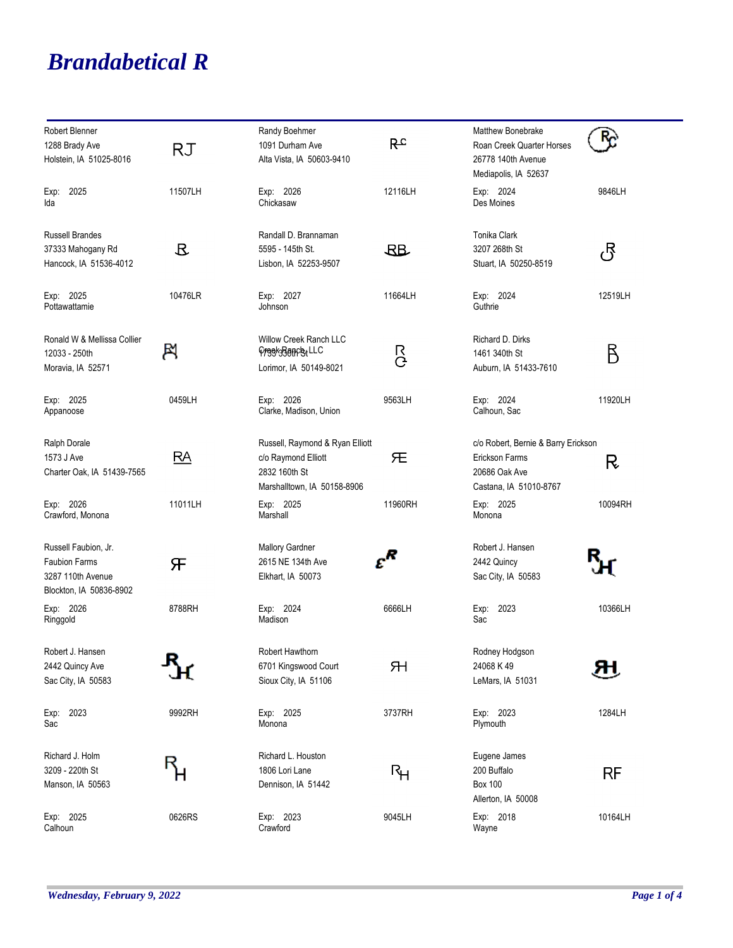## *Brandabetical R*

| Robert Blenner<br>1288 Brady Ave<br>Holstein, IA 51025-8016                                  | RJ            | Randy Boehmer<br>1091 Durham Ave<br>Alta Vista, IA 50603-9410                                          | $R_{c}$ | Matthew Bonebrake<br>Roan Creek Quarter Horses<br>26778 140th Avenue<br>Mediapolis, IA 52637     |           |
|----------------------------------------------------------------------------------------------|---------------|--------------------------------------------------------------------------------------------------------|---------|--------------------------------------------------------------------------------------------------|-----------|
| 2025<br>Exp:<br>Ida                                                                          | 11507LH       | Exp: 2026<br>Chickasaw                                                                                 | 12116LH | Exp: 2024<br>Des Moines                                                                          | 9846LH    |
| <b>Russell Brandes</b><br>37333 Mahogany Rd<br>Hancock, IA 51536-4012                        | $\mathcal{B}$ | Randall D. Brannaman<br>5595 - 145th St.<br>Lisbon, IA 52253-9507                                      | $R_{B}$ | Tonika Clark<br>3207 268th St<br>Stuart, IA 50250-8519                                           | යි        |
| Exp: 2025<br>Pottawattamie                                                                   | 10476LR       | Exp: 2027<br>Johnson                                                                                   | 11664LH | Exp: 2024<br>Guthrie                                                                             | 12519LH   |
| Ronald W & Mellissa Collier<br>12033 - 250th<br>Moravia, IA 52571                            | B             | Willow Creek Ranch LLC<br>Freek3BanchtLLC<br>Lorimor, IA 50149-8021                                    | R<br>C  | Richard D. Dirks<br>1461 340th St<br>Auburn, IA 51433-7610                                       | В         |
| Exp: 2025<br>Appanoose                                                                       | 0459LH        | Exp: 2026<br>Clarke, Madison, Union                                                                    | 9563LH  | Exp: 2024<br>Calhoun, Sac                                                                        | 11920LH   |
| Ralph Dorale<br>1573 J Ave<br>Charter Oak, IA 51439-7565                                     | RA            | Russell, Raymond & Ryan Elliott<br>c/o Raymond Elliott<br>2832 160th St<br>Marshalltown, IA 50158-8906 | 旡       | c/o Robert, Bernie & Barry Erickson<br>Erickson Farms<br>20686 Oak Ave<br>Castana, IA 51010-8767 | R         |
| Exp: 2026<br>Crawford, Monona                                                                | 11011LH       | Exp: 2025<br>Marshall                                                                                  | 11960RH | Exp: 2025<br>Monona                                                                              | 10094RH   |
| Russell Faubion, Jr.<br><b>Faubion Farms</b><br>3287 110th Avenue<br>Blockton, IA 50836-8902 | Æ             | <b>Mallory Gardner</b><br>2615 NE 134th Ave<br>Elkhart, IA 50073                                       | $c^R$   | Robert J. Hansen<br>2442 Quincy<br>Sac City, IA 50583                                            |           |
| Exp: 2026<br>Ringgold                                                                        | 8788RH        | Exp: 2024<br>Madison                                                                                   | 6666LH  | Exp: 2023<br>Sac                                                                                 | 10366LH   |
| Robert J. Hansen<br>2442 Quincy Ave<br>Sac City, IA 50583                                    |               | Robert Hawthorn<br>6701 Kingswood Court<br>Sioux City, IA 51106                                        | ЯH      | Rodney Hodgson<br>24068 K 49<br>LeMars, IA 51031                                                 | ЯΗ        |
| Exp: 2023<br>Sac                                                                             | 9992RH        | Exp: 2025<br>Monona                                                                                    | 3737RH  | Exp: 2023<br>Plymouth                                                                            | 1284LH    |
| Richard J. Holm<br>3209 - 220th St<br>Manson, IA 50563                                       |               | Richard L. Houston<br>1806 Lori Lane<br>Dennison, IA 51442                                             | Rμ      | Eugene James<br>200 Buffalo<br><b>Box 100</b><br>Allerton, IA 50008                              | <b>RF</b> |
| Exp: 2025<br>Calhoun                                                                         | 0626RS        | Exp: 2023<br>Crawford                                                                                  | 9045LH  | Exp: 2018<br>Wayne                                                                               | 10164LH   |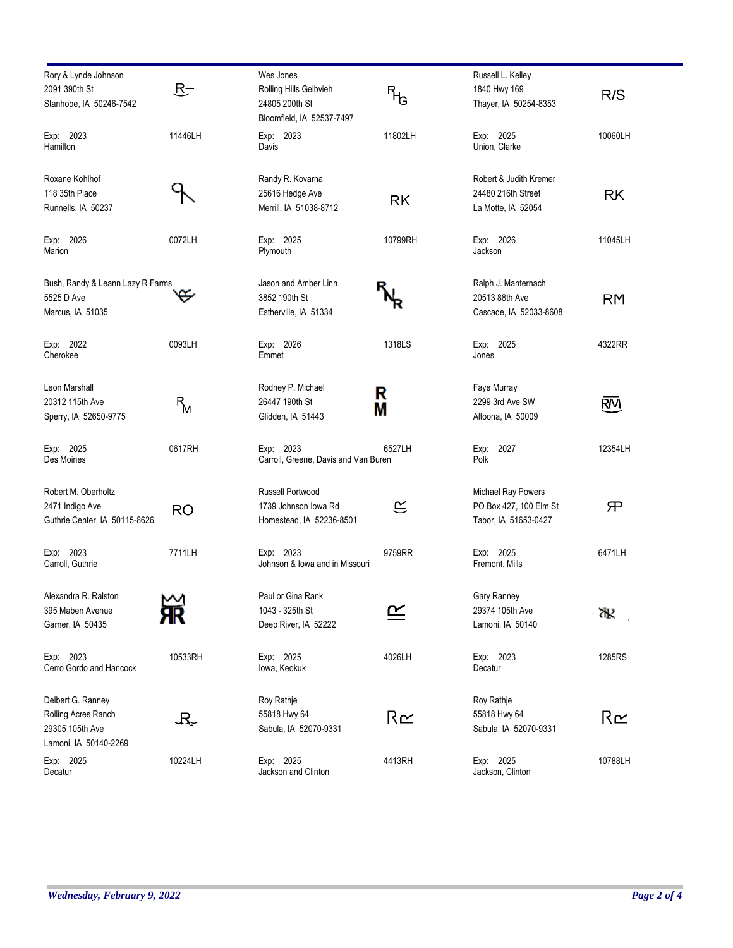| Rory & Lynde Johnson<br>2091 390th St<br>Stanhope, IA 50246-7542                     | $R-$      | Wes Jones<br>Rolling Hills Gelbvieh<br>24805 200th St<br>Bloomfield, IA 52537-7497 | ᠲᡃ            | Russell L. Kelley<br>1840 Hwy 169<br>Thayer, IA 50254-8353           | R/S       |
|--------------------------------------------------------------------------------------|-----------|------------------------------------------------------------------------------------|---------------|----------------------------------------------------------------------|-----------|
| Exp: 2023<br>Hamilton                                                                | 11446LH   | Exp: 2023<br>Davis                                                                 | 11802LH       | Exp: 2025<br>Union, Clarke                                           | 10060LH   |
| Roxane Kohlhof<br>118 35th Place<br>Runnells, IA 50237                               |           | Randy R. Kovarna<br>25616 Hedge Ave<br>Merrill, IA 51038-8712                      | RK            | Robert & Judith Kremer<br>24480 216th Street<br>La Motte, IA 52054   | <b>RK</b> |
| Exp: 2026<br>Marion                                                                  | 0072LH    | Exp: 2025<br>Plymouth                                                              | 10799RH       | Exp: 2026<br>Jackson                                                 | 11045LH   |
| Bush, Randy & Leann Lazy R Farms<br>5525 D Ave<br>Marcus, IA 51035                   |           | Jason and Amber Linn<br>3852 190th St<br>Estherville, IA 51334                     |               | Ralph J. Manternach<br>20513 88th Ave<br>Cascade, IA 52033-8608      | <b>RM</b> |
| Exp: 2022<br>Cherokee                                                                | 0093LH    | Exp: 2026<br>Emmet                                                                 | 1318LS        | Exp: 2025<br>Jones                                                   | 4322RR    |
| Leon Marshall<br>20312 115th Ave<br>Sperry, IA 52650-9775                            | $R_{\!M}$ | Rodney P. Michael<br>26447 190th St<br>Glidden, IA 51443                           | R<br>Μ        | Faye Murray<br>2299 3rd Ave SW<br>Altoona, IA 50009                  | <u>RM</u> |
| Exp: 2025<br>Des Moines                                                              | 0617RH    | Exp: 2023<br>Carroll, Greene, Davis and Van Buren                                  | 6527LH        | Exp: 2027<br>Polk                                                    | 12354LH   |
| Robert M. Oberholtz<br>2471 Indigo Ave<br>Guthrie Center, IA 50115-8626              | <b>RO</b> | Russell Portwood<br>1739 Johnson Iowa Rd<br>Homestead, IA 52236-8501               | $\mathfrak S$ | Michael Ray Powers<br>PO Box 427, 100 Elm St<br>Tabor, IA 51653-0427 | 兄         |
| Exp: 2023<br>Carroll, Guthrie                                                        | 7711LH    | Exp: 2023<br>Johnson & Iowa and in Missouri                                        | 9759RR        | Exp: 2025<br>Fremont, Mills                                          | 6471LH    |
| Alexandra R. Ralston<br>395 Maben Avenue<br>Garner, IA 50435                         | ⋈         | Paul or Gina Rank<br>1043 - 325th St<br>Deep River, IA 52222                       | <u> ഘ</u>     | Gary Ranney<br>29374 105th Ave<br>Lamoni, IA 50140                   | ďP        |
| Exp: 2023<br>Cerro Gordo and Hancock                                                 | 10533RH   | Exp: 2025<br>lowa, Keokuk                                                          | 4026LH        | Exp: 2023<br>Decatur                                                 | 1285RS    |
| Delbert G. Ranney<br>Rolling Acres Ranch<br>29305 105th Ave<br>Lamoni, IA 50140-2269 | よ         | Roy Rathje<br>55818 Hwy 64<br>Sabula, IA 52070-9331                                | R≃            | Roy Rathje<br>55818 Hwy 64<br>Sabula, IA 52070-9331                  | R≃        |
| Exp: 2025<br>Decatur                                                                 | 10224LH   | Exp: 2025<br>Jackson and Clinton                                                   | 4413RH        | Exp: 2025<br>Jackson, Clinton                                        | 10788LH   |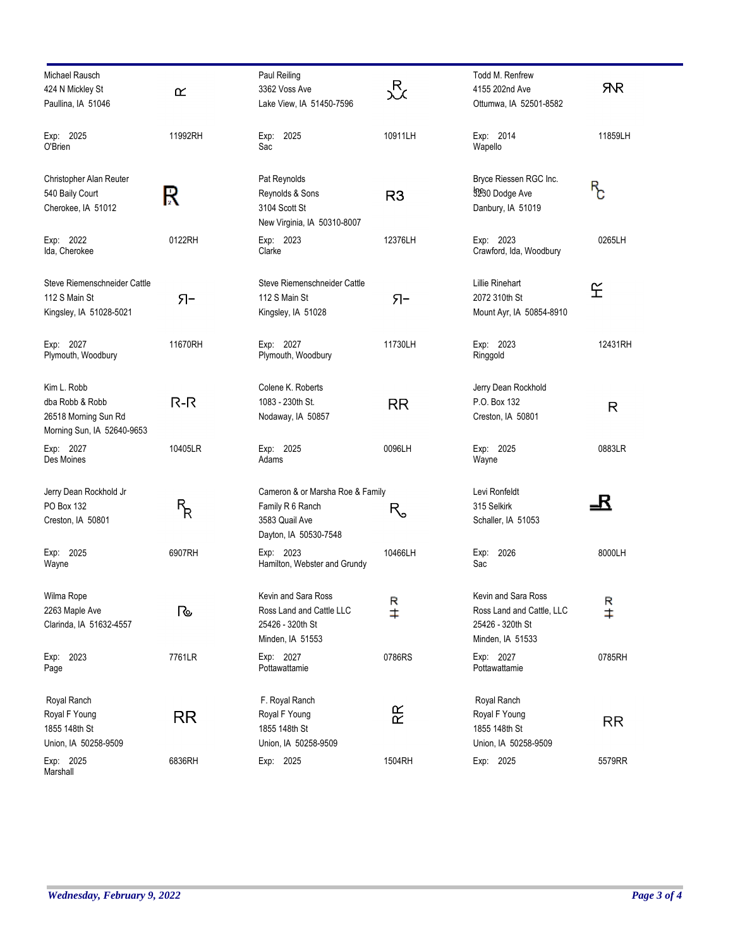| Michael Rausch<br>424 N Mickley St                                                   | $\underline{\alpha}$ | Paul Reiling<br>3362 Voss Ave                                                                   | 迟              | Todd M. Renfrew<br>4155 202nd Ave                                                        | <b>RR</b>       |
|--------------------------------------------------------------------------------------|----------------------|-------------------------------------------------------------------------------------------------|----------------|------------------------------------------------------------------------------------------|-----------------|
| Paullina, IA 51046                                                                   |                      | Lake View, IA 51450-7596                                                                        |                | Ottumwa, IA 52501-8582                                                                   |                 |
| Exp: 2025<br>O'Brien                                                                 | 11992RH              | Exp: 2025<br>Sac                                                                                | 10911LH        | Exp: 2014<br>Wapello                                                                     | 11859LH         |
| Christopher Alan Reuter<br>540 Baily Court<br>Cherokee, IA 51012                     | R                    | Pat Reynolds<br>Reynolds & Sons<br>3104 Scott St<br>New Virginia, IA 50310-8007                 | R <sub>3</sub> | Bryce Riessen RGC Inc.<br>3230 Dodge Ave<br>Danbury, IA 51019                            | ጜ<br>የ          |
| Exp: 2022<br>Ida, Cherokee                                                           | 0122RH               | Exp: 2023<br>Clarke                                                                             | 12376LH        | Exp: 2023<br>Crawford, Ida, Woodbury                                                     | 0265LH          |
| Steve Riemenschneider Cattle<br>112 S Main St<br>Kingsley, IA 51028-5021             | Я-                   | Steve Riemenschneider Cattle<br>112 S Main St<br>Kingsley, IA 51028                             | Я-             | Lillie Rinehart<br>2072 310th St<br>Mount Ayr, IA 50854-8910                             | 丘               |
| Exp: 2027<br>Plymouth, Woodbury                                                      | 11670RH              | Exp: 2027<br>Plymouth, Woodbury                                                                 | 11730LH        | Exp: 2023<br>Ringgold                                                                    | 12431RH         |
| Kim L. Robb<br>dba Robb & Robb<br>26518 Morning Sun Rd<br>Morning Sun, IA 52640-9653 | $R-R$                | Colene K. Roberts<br>1083 - 230th St.<br>Nodaway, IA 50857                                      | <b>RR</b>      | Jerry Dean Rockhold<br>P.O. Box 132<br>Creston, IA 50801                                 | $\mathsf{R}$    |
| Exp: 2027<br>Des Moines                                                              | 10405LR              | Exp: 2025<br>Adams                                                                              | 0096LH         | Exp: 2025<br>Wayne                                                                       | 0883LR          |
| Jerry Dean Rockhold Jr<br>PO Box 132<br>Creston, IA 50801                            | ዜ<br>አ               | Cameron & or Marsha Roe & Family<br>Family R 6 Ranch<br>3583 Quail Ave<br>Dayton, IA 50530-7548 | R。             | Levi Ronfeldt<br>315 Selkirk<br>Schaller, IA 51053                                       | 玉               |
| Exp: 2025<br>Wayne                                                                   | 6907RH               | Exp: 2023<br>Hamilton, Webster and Grundy                                                       | 10466LH        | 2026<br>Exp:<br>Sac                                                                      | 8000LH          |
| Wilma Rope<br>2263 Maple Ave<br>Clarinda, IA 51632-4557                              | কে                   | Kevin and Sara Ross<br>Ross Land and Cattle LLC<br>25426 - 320th St<br>Minden, IA 51553         | $R +$          | Kevin and Sara Ross<br>Ross Land and Cattle, LLC<br>25426 - 320th St<br>Minden, IA 51533 | R<br>$\ddagger$ |
| Exp: 2023<br>Page                                                                    | 7761LR               | Exp: 2027<br>Pottawattamie                                                                      | 0786RS         | Exp: 2027<br>Pottawattamie                                                               | 0785RH          |
| Royal Ranch<br>Royal F Young<br>1855 148th St<br>Union, IA 50258-9509                | <b>RR</b>            | F. Royal Ranch<br>Royal F Young<br>1855 148th St<br>Union, IA 50258-9509                        | 쭍              | Royal Ranch<br>Royal F Young<br>1855 148th St<br>Union, IA 50258-9509                    | RR              |
| Exp: 2025<br>Marshall                                                                | 6836RH               | Exp: 2025                                                                                       | 1504RH         | Exp: 2025                                                                                | 5579RR          |